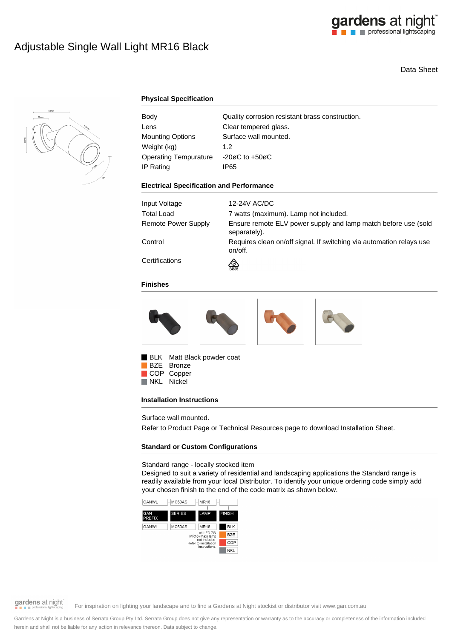

# Data Sheet



## **Physical Specification**

| Body                         | Quality corrosion resistant brass construction. |
|------------------------------|-------------------------------------------------|
| Lens                         | Clear tempered glass.                           |
| <b>Mounting Options</b>      | Surface wall mounted.                           |
| Weight (kg)                  | 1.2 <sub>2</sub>                                |
| <b>Operating Tempurature</b> | $-20\varnothing$ C to $+50\varnothing$ C        |
| IP Rating                    | IP65                                            |

#### **Electrical Specification and Performance**

| Input Voltage       | 12-24V AC/DC                                                                    |
|---------------------|---------------------------------------------------------------------------------|
| Total Load          | 7 watts (maximum). Lamp not included.                                           |
| Remote Power Supply | Ensure remote ELV power supply and lamp match before use (sold<br>separately).  |
| Control             | Requires clean on/off signal. If switching via automation relays use<br>on/off. |
| Certifications      | ∞<br>E4635                                                                      |

#### **Finishes**



BLK Matt Black powder coat

BZE Bronze COP Copper<br>NKL Nickel Nickel

### **Installation Instructions**

Surface wall mounted.

Refer to Product Page or Technical Resources page to download Installation Sheet.

### **Standard or Custom Configurations**

Standard range - locally stocked item

Designed to suit a variety of residential and landscaping applications the Standard range is readily available from your local Distributor. To identify your unique ordering code simply add your chosen finish to the end of the code matrix as shown below.





gardens at night

For inspiration on lighting your landscape and to find a Gardens at Night stockist or distributor visit www.gan.com.au

Gardens at Night is a business of Serrata Group Pty Ltd. Serrata Group does not give any representation or warranty as to the accuracy or completeness of the information included herein and shall not be liable for any action in relevance thereon. Data subject to change.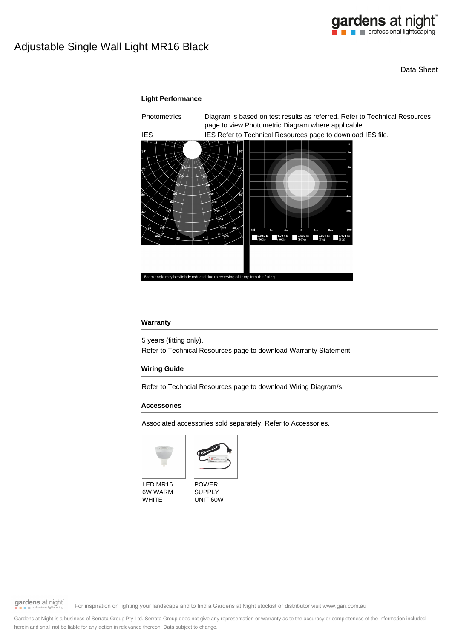

Data Sheet



#### **Warranty**

5 years (fitting only).

Refer to Technical Resources page to download Warranty Statement.

### **Wiring Guide**

Refer to Techncial Resources page to download Wiring Diagram/s.

#### **Accessories**

Associated accessories sold separately. Refer to Accessories.





LED MR16 6W WARM WHITE



gardens at night

For inspiration on lighting your landscape and to find a Gardens at Night stockist or distributor visit www.gan.com.au

Gardens at Night is a business of Serrata Group Pty Ltd. Serrata Group does not give any representation or warranty as to the accuracy or completeness of the information included herein and shall not be liable for any action in relevance thereon. Data subject to change.